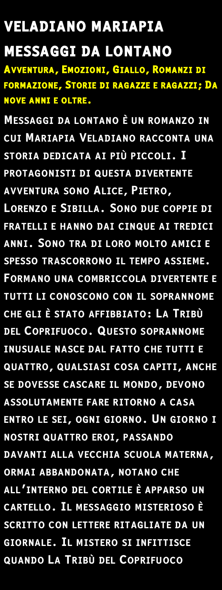**VELADIANO MARIAPIA MESSAGGI DA LONTANO** AVVENTURA, EMOZIONI, GIALLO, ROMANZI DI FORMAZIONE, STORIE DI RAGAZZE E RAGAZZI; DA **NOVE ANNI E OLTRE.** 

**MESSAGGI DA LONTANO È UN ROMANZO IN** CUI MARIAPIA VELADIANO RACCONTA UNA STORIA DEDICATA AI PIÙ PICCOLI. I PROTAGONISTI DI QUESTA DIVERTENTE AVVENTURA SONO ALICE, PIETRO, LORENZO E SIBILLA. SONO DUE COPPIE DI FRATELLI E HANNO DAI CINQUE AI TREDICI ANNI. SONO TRA DI LORO MOLTO AMICI E SPESSO TRASCORRONO IL TEMPO ASSIEME. FORMANO UNA COMBRICCOLA DIVERTENTE E TUTTI LI CONOSCONO CON IL SOPRANNOME CHE GLI È STATO AFFIBBIATO: LA TRIBÙ DEL COPRIFUOCO. QUESTO SOPRANNOME INUSUALE NASCE DAL FATTO CHE TUTTI E QUATTRO, QUALSIASI COSA CAPITI, ANCHE SE DOVESSE CASCARE IL MONDO, DEVONO ASSOLUTAMENTE FARE RITORNO A CASA ENTRO LE SEI, OGNI GIORNO. UN GIORNO I NOSTRI QUATTRO EROI, PASSANDO DAVANTI ALLA VECCHIA SCUOLA MATERNA, ORMAI ABBANDONATA, NOTANO CHE ALL'INTERNO DEL CORTILE È APPARSO UN CARTELLO. IL MESSAGGIO MISTERIOSO È SCRITTO CON LETTERE RITAGLIATE DA UN GIORNALE. IL MISTERO SI INFITTISCE QUANDO LA TRIBÙ DEL COPRIFUOCO